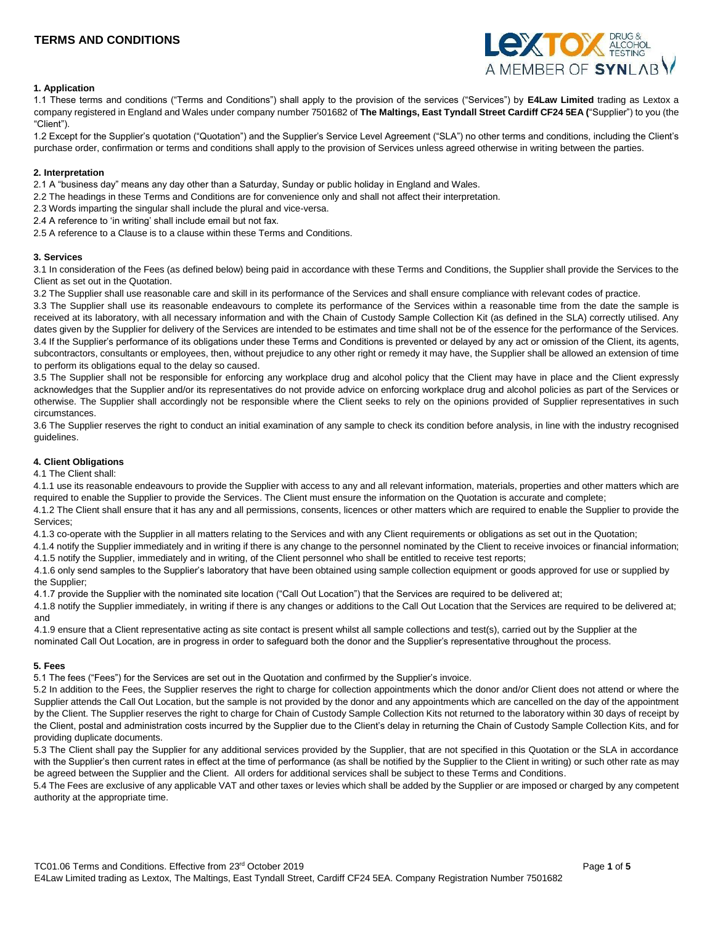# **TERMS AND CONDITIONS**



# **1. Application**

1.1 These terms and conditions ("Terms and Conditions") shall apply to the provision of the services ("Services") by **E4Law Limited** trading as Lextox a company registered in England and Wales under company number 7501682 of **The Maltings, East Tyndall Street Cardiff CF24 5EA (**"Supplier") to you (the "Client").

1.2 Except for the Supplier's quotation ("Quotation") and the Supplier's Service Level Agreement ("SLA") no other terms and conditions, including the Client's purchase order, confirmation or terms and conditions shall apply to the provision of Services unless agreed otherwise in writing between the parties.

#### **2. Interpretation**

2.1 A "business day" means any day other than a Saturday, Sunday or public holiday in England and Wales.

- 2.2 The headings in these Terms and Conditions are for convenience only and shall not affect their interpretation.
- 2.3 Words imparting the singular shall include the plural and vice-versa.
- 2.4 A reference to 'in writing' shall include email but not fax.

2.5 A reference to a Clause is to a clause within these Terms and Conditions.

#### **3. Services**

3.1 In consideration of the Fees (as defined below) being paid in accordance with these Terms and Conditions, the Supplier shall provide the Services to the Client as set out in the Quotation.

3.2 The Supplier shall use reasonable care and skill in its performance of the Services and shall ensure compliance with relevant codes of practice.

3.3 The Supplier shall use its reasonable endeavours to complete its performance of the Services within a reasonable time from the date the sample is received at its laboratory, with all necessary information and with the Chain of Custody Sample Collection Kit (as defined in the SLA) correctly utilised. Any dates given by the Supplier for delivery of the Services are intended to be estimates and time shall not be of the essence for the performance of the Services. 3.4 If the Supplier's performance of its obligations under these Terms and Conditions is prevented or delayed by any act or omission of the Client, its agents, subcontractors, consultants or employees, then, without prejudice to any other right or remedy it may have, the Supplier shall be allowed an extension of time to perform its obligations equal to the delay so caused.

3.5 The Supplier shall not be responsible for enforcing any workplace drug and alcohol policy that the Client may have in place and the Client expressly acknowledges that the Supplier and/or its representatives do not provide advice on enforcing workplace drug and alcohol policies as part of the Services or otherwise. The Supplier shall accordingly not be responsible where the Client seeks to rely on the opinions provided of Supplier representatives in such circumstances.

3.6 The Supplier reserves the right to conduct an initial examination of any sample to check its condition before analysis, in line with the industry recognised guidelines.

# **4. Client Obligations**

#### 4.1 The Client shall:

4.1.1 use its reasonable endeavours to provide the Supplier with access to any and all relevant information, materials, properties and other matters which are required to enable the Supplier to provide the Services. The Client must ensure the information on the Quotation is accurate and complete;

4.1.2 The Client shall ensure that it has any and all permissions, consents, licences or other matters which are required to enable the Supplier to provide the Services;

4.1.3 co-operate with the Supplier in all matters relating to the Services and with any Client requirements or obligations as set out in the Quotation;

4.1.4 notify the Supplier immediately and in writing if there is any change to the personnel nominated by the Client to receive invoices or financial information; 4.1.5 notify the Supplier, immediately and in writing, of the Client personnel who shall be entitled to receive test reports;

4.1.6 only send samples to the Supplier's laboratory that have been obtained using sample collection equipment or goods approved for use or supplied by the Supplier;

4.1.7 provide the Supplier with the nominated site location ("Call Out Location") that the Services are required to be delivered at;

4.1.8 notify the Supplier immediately, in writing if there is any changes or additions to the Call Out Location that the Services are required to be delivered at; and

4.1.9 ensure that a Client representative acting as site contact is present whilst all sample collections and test(s), carried out by the Supplier at the nominated Call Out Location, are in progress in order to safeguard both the donor and the Supplier's representative throughout the process.

# **5. Fees**

5.1 The fees ("Fees") for the Services are set out in the Quotation and confirmed by the Supplier's invoice.

5.2 In addition to the Fees, the Supplier reserves the right to charge for collection appointments which the donor and/or Client does not attend or where the Supplier attends the Call Out Location, but the sample is not provided by the donor and any appointments which are cancelled on the day of the appointment by the Client. The Supplier reserves the right to charge for Chain of Custody Sample Collection Kits not returned to the laboratory within 30 days of receipt by the Client, postal and administration costs incurred by the Supplier due to the Client's delay in returning the Chain of Custody Sample Collection Kits, and for providing duplicate documents.

5.3 The Client shall pay the Supplier for any additional services provided by the Supplier, that are not specified in this Quotation or the SLA in accordance with the Supplier's then current rates in effect at the time of performance (as shall be notified by the Supplier to the Client in writing) or such other rate as may be agreed between the Supplier and the Client. All orders for additional services shall be subject to these Terms and Conditions.

5.4 The Fees are exclusive of any applicable VAT and other taxes or levies which shall be added by the Supplier or are imposed or charged by any competent authority at the appropriate time.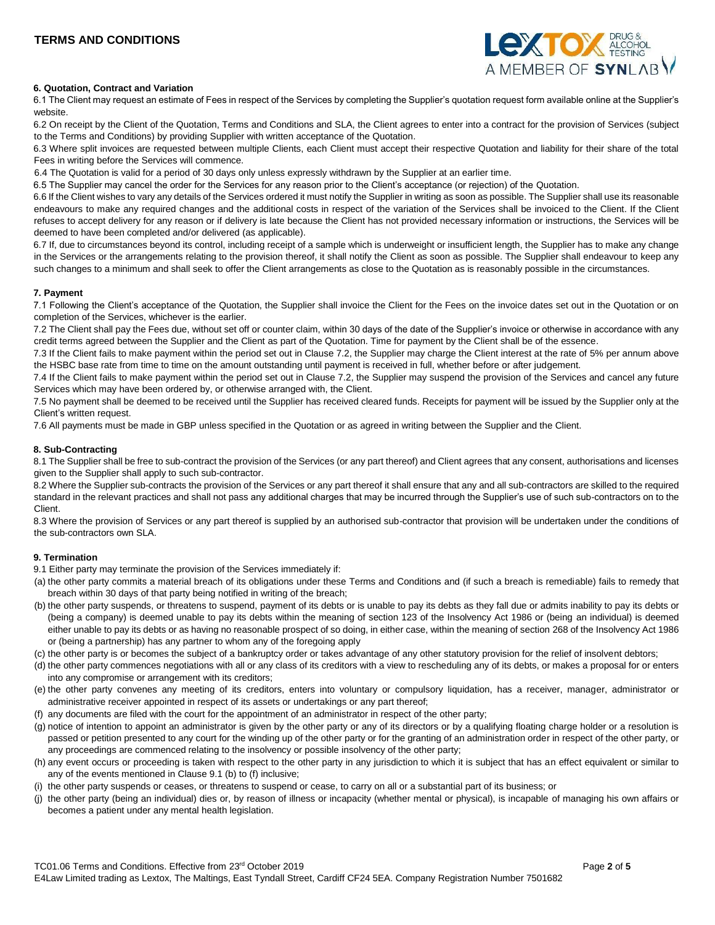

# **6. Quotation, Contract and Variation**

6.1 The Client may request an estimate of Fees in respect of the Services by completing the Supplier's quotation request form available online at the Supplier's website.

6.2 On receipt by the Client of the Quotation, Terms and Conditions and SLA, the Client agrees to enter into a contract for the provision of Services (subject to the Terms and Conditions) by providing Supplier with written acceptance of the Quotation.

6.3 Where split invoices are requested between multiple Clients, each Client must accept their respective Quotation and liability for their share of the total Fees in writing before the Services will commence.

6.4 The Quotation is valid for a period of 30 days only unless expressly withdrawn by the Supplier at an earlier time.

6.5 The Supplier may cancel the order for the Services for any reason prior to the Client's acceptance (or rejection) of the Quotation.

6.6 If the Client wishes to vary any details of the Services ordered it must notify the Supplier in writing as soon as possible. The Supplier shall use its reasonable endeavours to make any required changes and the additional costs in respect of the variation of the Services shall be invoiced to the Client. If the Client refuses to accept delivery for any reason or if delivery is late because the Client has not provided necessary information or instructions, the Services will be deemed to have been completed and/or delivered (as applicable).

6.7 If, due to circumstances beyond its control, including receipt of a sample which is underweight or insufficient length, the Supplier has to make any change in the Services or the arrangements relating to the provision thereof, it shall notify the Client as soon as possible. The Supplier shall endeavour to keep any such changes to a minimum and shall seek to offer the Client arrangements as close to the Quotation as is reasonably possible in the circumstances.

# **7. Payment**

7.1 Following the Client's acceptance of the Quotation, the Supplier shall invoice the Client for the Fees on the invoice dates set out in the Quotation or on completion of the Services, whichever is the earlier.

7.2 The Client shall pay the Fees due, without set off or counter claim, within 30 days of the date of the Supplier's invoice or otherwise in accordance with any credit terms agreed between the Supplier and the Client as part of the Quotation. Time for payment by the Client shall be of the essence.

7.3 If the Client fails to make payment within the period set out in Clause 7.2, the Supplier may charge the Client interest at the rate of 5% per annum above the HSBC base rate from time to time on the amount outstanding until payment is received in full, whether before or after judgement.

7.4 If the Client fails to make payment within the period set out in Clause 7.2, the Supplier may suspend the provision of the Services and cancel any future Services which may have been ordered by, or otherwise arranged with, the Client.

7.5 No payment shall be deemed to be received until the Supplier has received cleared funds. Receipts for payment will be issued by the Supplier only at the Client's written request.

7.6 All payments must be made in GBP unless specified in the Quotation or as agreed in writing between the Supplier and the Client.

# **8. Sub-Contracting**

8.1 The Supplier shall be free to sub-contract the provision of the Services (or any part thereof) and Client agrees that any consent, authorisations and licenses given to the Supplier shall apply to such sub-contractor.

8.2 Where the Supplier sub-contracts the provision of the Services or any part thereof it shall ensure that any and all sub-contractors are skilled to the required standard in the relevant practices and shall not pass any additional charges that may be incurred through the Supplier's use of such sub-contractors on to the Client.

8.3 Where the provision of Services or any part thereof is supplied by an authorised sub-contractor that provision will be undertaken under the conditions of the sub-contractors own SLA.

# **9. Termination**

9.1 Either party may terminate the provision of the Services immediately if:

- (a) the other party commits a material breach of its obligations under these Terms and Conditions and (if such a breach is remediable) fails to remedy that breach within 30 days of that party being notified in writing of the breach;
- (b) the other party suspends, or threatens to suspend, payment of its debts or is unable to pay its debts as they fall due or admits inability to pay its debts or (being a company) is deemed unable to pay its debts within the meaning of section 123 of the Insolvency Act 1986 or (being an individual) is deemed either unable to pay its debts or as having no reasonable prospect of so doing, in either case, within the meaning of section 268 of the Insolvency Act 1986 or (being a partnership) has any partner to whom any of the foregoing apply
- (c) the other party is or becomes the subject of a bankruptcy order or takes advantage of any other statutory provision for the relief of insolvent debtors;
- (d) the other party commences negotiations with all or any class of its creditors with a view to rescheduling any of its debts, or makes a proposal for or enters into any compromise or arrangement with its creditors;
- (e) the other party convenes any meeting of its creditors, enters into voluntary or compulsory liquidation, has a receiver, manager, administrator or administrative receiver appointed in respect of its assets or undertakings or any part thereof;
- (f) any documents are filed with the court for the appointment of an administrator in respect of the other party;
- (g) notice of intention to appoint an administrator is given by the other party or any of its directors or by a qualifying floating charge holder or a resolution is passed or petition presented to any court for the winding up of the other party or for the granting of an administration order in respect of the other party, or any proceedings are commenced relating to the insolvency or possible insolvency of the other party;
- (h) any event occurs or proceeding is taken with respect to the other party in any jurisdiction to which it is subject that has an effect equivalent or similar to any of the events mentioned in Clause 9.1 (b) to (f) inclusive;
- (i) the other party suspends or ceases, or threatens to suspend or cease, to carry on all or a substantial part of its business; or
- (j) the other party (being an individual) dies or, by reason of illness or incapacity (whether mental or physical), is incapable of managing his own affairs or becomes a patient under any mental health legislation.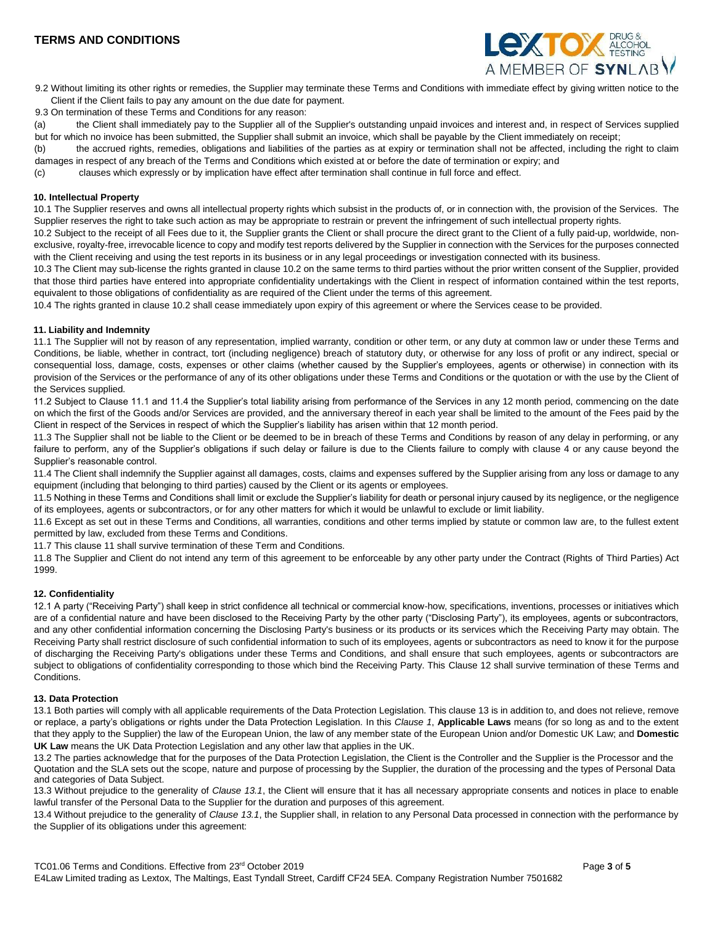

9.2 Without limiting its other rights or remedies, the Supplier may terminate these Terms and Conditions with immediate effect by giving written notice to the Client if the Client fails to pay any amount on the due date for payment.

9.3 On termination of these Terms and Conditions for any reason:

(a) the Client shall immediately pay to the Supplier all of the Supplier's outstanding unpaid invoices and interest and, in respect of Services supplied but for which no invoice has been submitted, the Supplier shall submit an invoice, which shall be payable by the Client immediately on receipt;

(b) the accrued rights, remedies, obligations and liabilities of the parties as at expiry or termination shall not be affected, including the right to claim damages in respect of any breach of the Terms and Conditions which existed at or before the date of termination or expiry; and

(c) clauses which expressly or by implication have effect after termination shall continue in full force and effect.

#### **10. Intellectual Property**

10.1 The Supplier reserves and owns all intellectual property rights which subsist in the products of, or in connection with, the provision of the Services. The Supplier reserves the right to take such action as may be appropriate to restrain or prevent the infringement of such intellectual property rights.

10.2 Subject to the receipt of all Fees due to it, the Supplier grants the Client or shall procure the direct grant to the Client of a fully paid-up, worldwide, nonexclusive, royalty-free, irrevocable licence to copy and modify test reports delivered by the Supplier in connection with the Services for the purposes connected with the Client receiving and using the test reports in its business or in any legal proceedings or investigation connected with its business.

10.3 The Client may sub-license the rights granted in clause 10.2 on the same terms to third parties without the prior written consent of the Supplier, provided that those third parties have entered into appropriate confidentiality undertakings with the Client in respect of information contained within the test reports, equivalent to those obligations of confidentiality as are required of the Client under the terms of this agreement.

10.4 The rights granted in clause 10.2 shall cease immediately upon expiry of this agreement or where the Services cease to be provided.

# **11. Liability and Indemnity**

11.1 The Supplier will not by reason of any representation, implied warranty, condition or other term, or any duty at common law or under these Terms and Conditions, be liable, whether in contract, tort (including negligence) breach of statutory duty, or otherwise for any loss of profit or any indirect, special or consequential loss, damage, costs, expenses or other claims (whether caused by the Supplier's employees, agents or otherwise) in connection with its provision of the Services or the performance of any of its other obligations under these Terms and Conditions or the quotation or with the use by the Client of the Services supplied.

11.2 Subject to Clause 11.1 and 11.4 the Supplier's total liability arising from performance of the Services in any 12 month period, commencing on the date on which the first of the Goods and/or Services are provided, and the anniversary thereof in each year shall be limited to the amount of the Fees paid by the Client in respect of the Services in respect of which the Supplier's liability has arisen within that 12 month period.

11.3 The Supplier shall not be liable to the Client or be deemed to be in breach of these Terms and Conditions by reason of any delay in performing, or any failure to perform, any of the Supplier's obligations if such delay or failure is due to the Clients failure to comply with clause 4 or any cause beyond the Supplier's reasonable control.

11.4 The Client shall indemnify the Supplier against all damages, costs, claims and expenses suffered by the Supplier arising from any loss or damage to any equipment (including that belonging to third parties) caused by the Client or its agents or employees.

11.5 Nothing in these Terms and Conditions shall limit or exclude the Supplier's liability for death or personal injury caused by its negligence, or the negligence of its employees, agents or subcontractors, or for any other matters for which it would be unlawful to exclude or limit liability.

11.6 Except as set out in these Terms and Conditions, all warranties, conditions and other terms implied by statute or common law are, to the fullest extent permitted by law, excluded from these Terms and Conditions.

11.7 This clause 11 shall survive termination of these Term and Conditions.

11.8 The Supplier and Client do not intend any term of this agreement to be enforceable by any other party under the Contract (Rights of Third Parties) Act 1999.

# **12. Confidentiality**

12.1 A party ("Receiving Party") shall keep in strict confidence all technical or commercial know-how, specifications, inventions, processes or initiatives which are of a confidential nature and have been disclosed to the Receiving Party by the other party ("Disclosing Party"), its employees, agents or subcontractors, and any other confidential information concerning the Disclosing Party's business or its products or its services which the Receiving Party may obtain. The Receiving Party shall restrict disclosure of such confidential information to such of its employees, agents or subcontractors as need to know it for the purpose of discharging the Receiving Party's obligations under these Terms and Conditions, and shall ensure that such employees, agents or subcontractors are subject to obligations of confidentiality corresponding to those which bind the Receiving Party. This Clause 12 shall survive termination of these Terms and Conditions.

# **13. Data Protection**

13.1 Both parties will comply with all applicable requirements of the Data Protection Legislation. This clause 13 is in addition to, and does not relieve, remove or replace, a party's obligations or rights under the Data Protection Legislation. In this *Clause 1*, **Applicable Laws** means (for so long as and to the extent that they apply to the Supplier) the law of the European Union, the law of any member state of the European Union and/or Domestic UK Law; and **Domestic UK Law** means the UK Data Protection Legislation and any other law that applies in the UK.

13.2 The parties acknowledge that for the purposes of the Data Protection Legislation, the Client is the Controller and the Supplier is the Processor and the Quotation and the SLA sets out the scope, nature and purpose of processing by the Supplier, the duration of the processing and the types of Personal Data and categories of Data Subject.

13.3 Without prejudice to the generality of *Clause 13.1*, the Client will ensure that it has all necessary appropriate consents and notices in place to enable lawful transfer of the Personal Data to the Supplier for the duration and purposes of this agreement.

13.4 Without prejudice to the generality of *Clause 13.1*, the Supplier shall, in relation to any Personal Data processed in connection with the performance by the Supplier of its obligations under this agreement: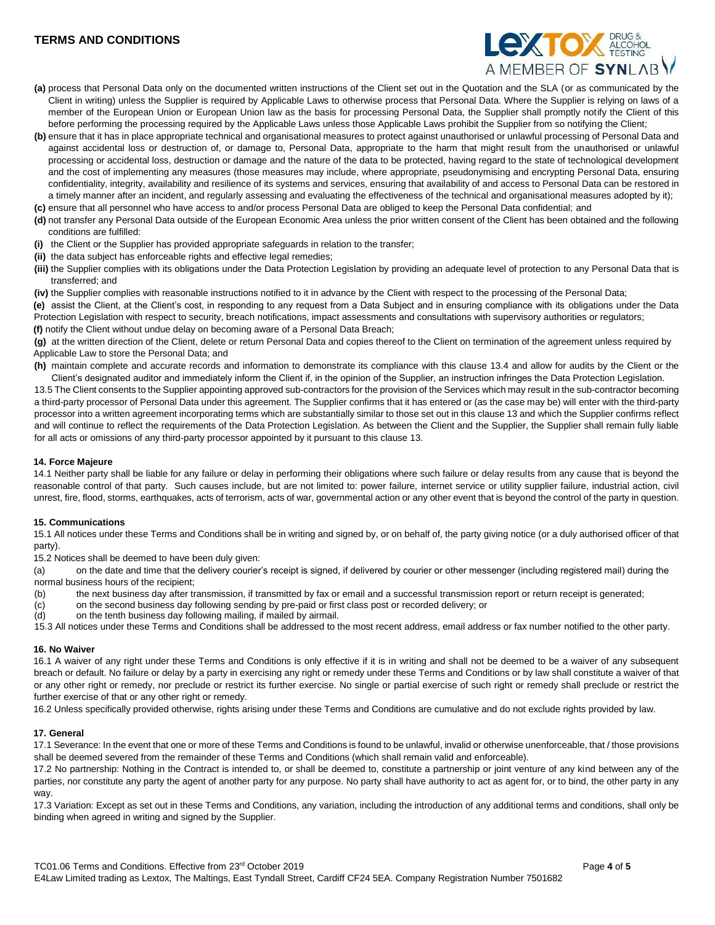# **TERMS AND CONDITIONS**



- **(a)** process that Personal Data only on the documented written instructions of the Client set out in the Quotation and the SLA (or as communicated by the Client in writing) unless the Supplier is required by Applicable Laws to otherwise process that Personal Data. Where the Supplier is relying on laws of a member of the European Union or European Union law as the basis for processing Personal Data, the Supplier shall promptly notify the Client of this before performing the processing required by the Applicable Laws unless those Applicable Laws prohibit the Supplier from so notifying the Client;
- **(b)** ensure that it has in place appropriate technical and organisational measures to protect against unauthorised or unlawful processing of Personal Data and against accidental loss or destruction of, or damage to, Personal Data, appropriate to the harm that might result from the unauthorised or unlawful processing or accidental loss, destruction or damage and the nature of the data to be protected, having regard to the state of technological development and the cost of implementing any measures (those measures may include, where appropriate, pseudonymising and encrypting Personal Data, ensuring confidentiality, integrity, availability and resilience of its systems and services, ensuring that availability of and access to Personal Data can be restored in a timely manner after an incident, and regularly assessing and evaluating the effectiveness of the technical and organisational measures adopted by it);
- **(c)** ensure that all personnel who have access to and/or process Personal Data are obliged to keep the Personal Data confidential; and
- **(d)** not transfer any Personal Data outside of the European Economic Area unless the prior written consent of the Client has been obtained and the following conditions are fulfilled:
- **(i)** the Client or the Supplier has provided appropriate safeguards in relation to the transfer;
- **(ii)** the data subject has enforceable rights and effective legal remedies;
- **(iii)** the Supplier complies with its obligations under the Data Protection Legislation by providing an adequate level of protection to any Personal Data that is transferred; and
- **(iv)** the Supplier complies with reasonable instructions notified to it in advance by the Client with respect to the processing of the Personal Data;

**(e)** assist the Client, at the Client's cost, in responding to any request from a Data Subject and in ensuring compliance with its obligations under the Data Protection Legislation with respect to security, breach notifications, impact assessments and consultations with supervisory authorities or regulators;

**(f)** notify the Client without undue delay on becoming aware of a Personal Data Breach;

**(g)** at the written direction of the Client, delete or return Personal Data and copies thereof to the Client on termination of the agreement unless required by Applicable Law to store the Personal Data; and

**(h)** maintain complete and accurate records and information to demonstrate its compliance with this clause 13.4 and allow for audits by the Client or the Client's designated auditor and immediately inform the Client if, in the opinion of the Supplier, an instruction infringes the Data Protection Legislation.

13.5 The Client consents to the Supplier appointing approved sub-contractors for the provision of the Services which may result in the sub-contractor becoming a third-party processor of Personal Data under this agreement. The Supplier confirms that it has entered or (as the case may be) will enter with the third-party processor into a written agreement incorporating terms which are substantially similar to those set out in this clause 13 and which the Supplier confirms reflect and will continue to reflect the requirements of the Data Protection Legislation. As between the Client and the Supplier, the Supplier shall remain fully liable for all acts or omissions of any third-party processor appointed by it pursuant to this clause 13.

#### **14. Force Majeure**

14.1 Neither party shall be liable for any failure or delay in performing their obligations where such failure or delay results from any cause that is beyond the reasonable control of that party. Such causes include, but are not limited to: power failure, internet service or utility supplier failure, industrial action, civil unrest, fire, flood, storms, earthquakes, acts of terrorism, acts of war, governmental action or any other event that is beyond the control of the party in question.

### **15. Communications**

15.1 All notices under these Terms and Conditions shall be in writing and signed by, or on behalf of, the party giving notice (or a duly authorised officer of that party).

15.2 Notices shall be deemed to have been duly given:

(a) on the date and time that the delivery courier's receipt is signed, if delivered by courier or other messenger (including registered mail) during the normal business hours of the recipient;

- (b) the next business day after transmission, if transmitted by fax or email and a successful transmission report or return receipt is generated;<br>(c) on the second business day following sending by pre-paid or first class
- on the second business day following sending by pre-paid or first class post or recorded delivery; or

(d) on the tenth business day following mailing, if mailed by airmail.

15.3 All notices under these Terms and Conditions shall be addressed to the most recent address, email address or fax number notified to the other party.

#### **16. No Waiver**

16.1 A waiver of any right under these Terms and Conditions is only effective if it is in writing and shall not be deemed to be a waiver of any subsequent breach or default. No failure or delay by a party in exercising any right or remedy under these Terms and Conditions or by law shall constitute a waiver of that or any other right or remedy, nor preclude or restrict its further exercise. No single or partial exercise of such right or remedy shall preclude or restrict the further exercise of that or any other right or remedy.

16.2 Unless specifically provided otherwise, rights arising under these Terms and Conditions are cumulative and do not exclude rights provided by law.

#### **17. General**

17.1 Severance: In the event that one or more of these Terms and Conditions is found to be unlawful, invalid or otherwise unenforceable, that / those provisions shall be deemed severed from the remainder of these Terms and Conditions (which shall remain valid and enforceable).

17.2 No partnership: Nothing in the Contract is intended to, or shall be deemed to, constitute a partnership or joint venture of any kind between any of the parties, nor constitute any party the agent of another party for any purpose. No party shall have authority to act as agent for, or to bind, the other party in any way.

17.3 Variation: Except as set out in these Terms and Conditions, any variation, including the introduction of any additional terms and conditions, shall only be binding when agreed in writing and signed by the Supplier.